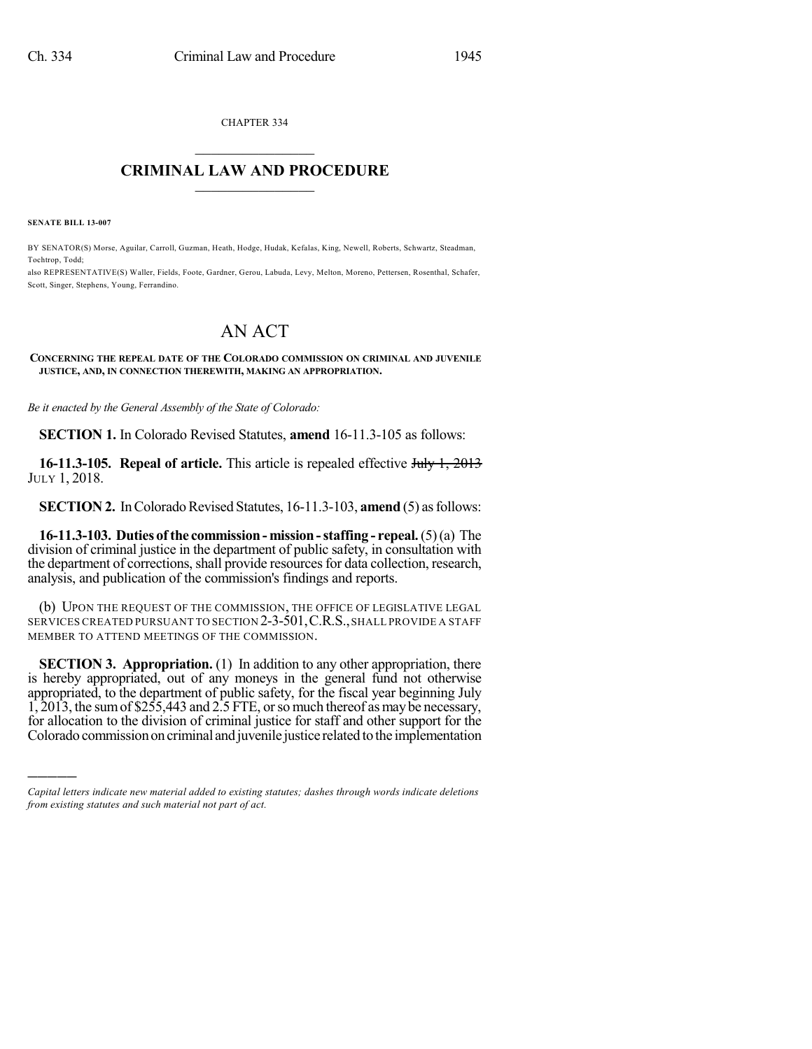CHAPTER 334

## $\mathcal{L}_\text{max}$  . The set of the set of the set of the set of the set of the set of the set of the set of the set of the set of the set of the set of the set of the set of the set of the set of the set of the set of the set **CRIMINAL LAW AND PROCEDURE**  $\_$   $\_$   $\_$   $\_$   $\_$   $\_$   $\_$   $\_$   $\_$   $\_$

**SENATE BILL 13-007**

)))))

BY SENATOR(S) Morse, Aguilar, Carroll, Guzman, Heath, Hodge, Hudak, Kefalas, King, Newell, Roberts, Schwartz, Steadman, Tochtrop, Todd;

also REPRESENTATIVE(S) Waller, Fields, Foote, Gardner, Gerou, Labuda, Levy, Melton, Moreno, Pettersen, Rosenthal, Schafer, Scott, Singer, Stephens, Young, Ferrandino.

## AN ACT

## **CONCERNING THE REPEAL DATE OF THE COLORADO COMMISSION ON CRIMINAL AND JUVENILE JUSTICE, AND, IN CONNECTION THEREWITH, MAKING AN APPROPRIATION.**

*Be it enacted by the General Assembly of the State of Colorado:*

**SECTION 1.** In Colorado Revised Statutes, **amend** 16-11.3-105 as follows:

**16-11.3-105. Repeal of article.** This article is repealed effective July 1, 2013 JULY 1, 2018.

**SECTION 2.** In Colorado Revised Statutes, 16-11.3-103, **amend** (5) as follows:

**16-11.3-103. Duties of the commission- mission-staffing - repeal.**(5)(a) The division of criminal justice in the department of public safety, in consultation with the department of corrections, shall provide resources for data collection, research, analysis, and publication of the commission's findings and reports.

(b) UPON THE REQUEST OF THE COMMISSION, THE OFFICE OF LEGISLATIVE LEGAL SERVICES CREATED PURSUANT TO SECTION 2-3-501,C.R.S.,SHALL PROVIDE A STAFF MEMBER TO ATTEND MEETINGS OF THE COMMISSION.

**SECTION 3. Appropriation.** (1) In addition to any other appropriation, there is hereby appropriated, out of any moneys in the general fund not otherwise appropriated, to the department of public safety, for the fiscal year beginning July 1, 2013, the sumof \$255,443 and 2.5 FTE, orso much thereof asmay be necessary, for allocation to the division of criminal justice for staff and other support for the Colorado commission on criminal and juvenile justice related to the implementation

*Capital letters indicate new material added to existing statutes; dashes through words indicate deletions from existing statutes and such material not part of act.*